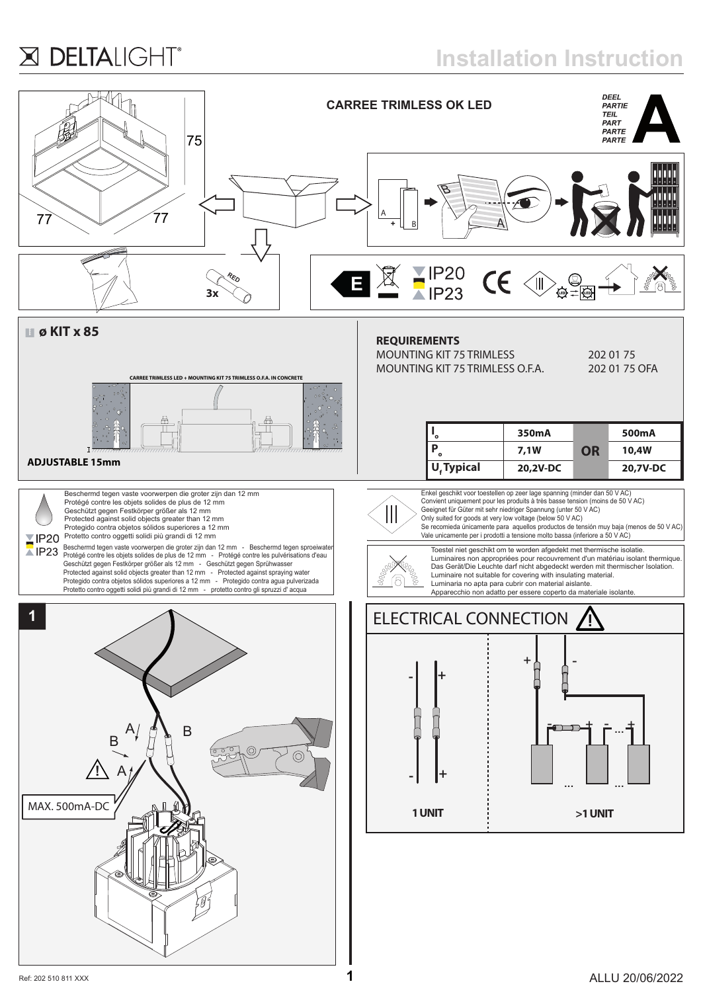## X DELTALIGHT®

**Installation Instruction**